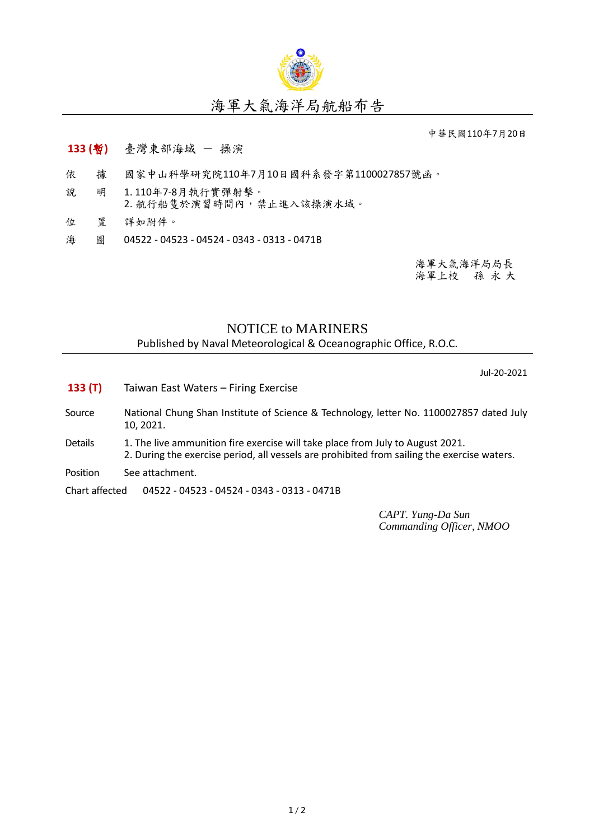

## 海軍大氣海洋局航船布告

中華民國110年7月20日

## **133 (**暫**)** 臺灣東部海域 - 操演

- 依 據 國家中山科學研究院110年7月10日國科系發字第1100027857號函。
- 說 明 1. 110年7-8月執行實彈射擊。 2. 航行船隻於演習時間內,禁止進入該操演水域。
- 位 置 詳如附件。
- 海 圖 04522 04523 04524 0343 0313 0471B

海軍大氣海洋局局長 海軍上校 孫 永 大

## NOTICE to MARINERS

Published by Naval Meteorological & Oceanographic Office, R.O.C.

Jul-20-2021

- **133 (T)** Taiwan East Waters Firing Exercise
- Source National Chung Shan Institute of Science & Technology, letter No. 1100027857 dated July 10, 2021.
- Details 1. The live ammunition fire exercise will take place from July to August 2021. 2. During the exercise period, all vessels are prohibited from sailing the exercise waters.
- Position See attachment.

Chart affected 04522 - 04523 - 04524 - 0343 - 0313 - 0471B

*CAPT. Yung-Da Sun Commanding Officer, NMOO*